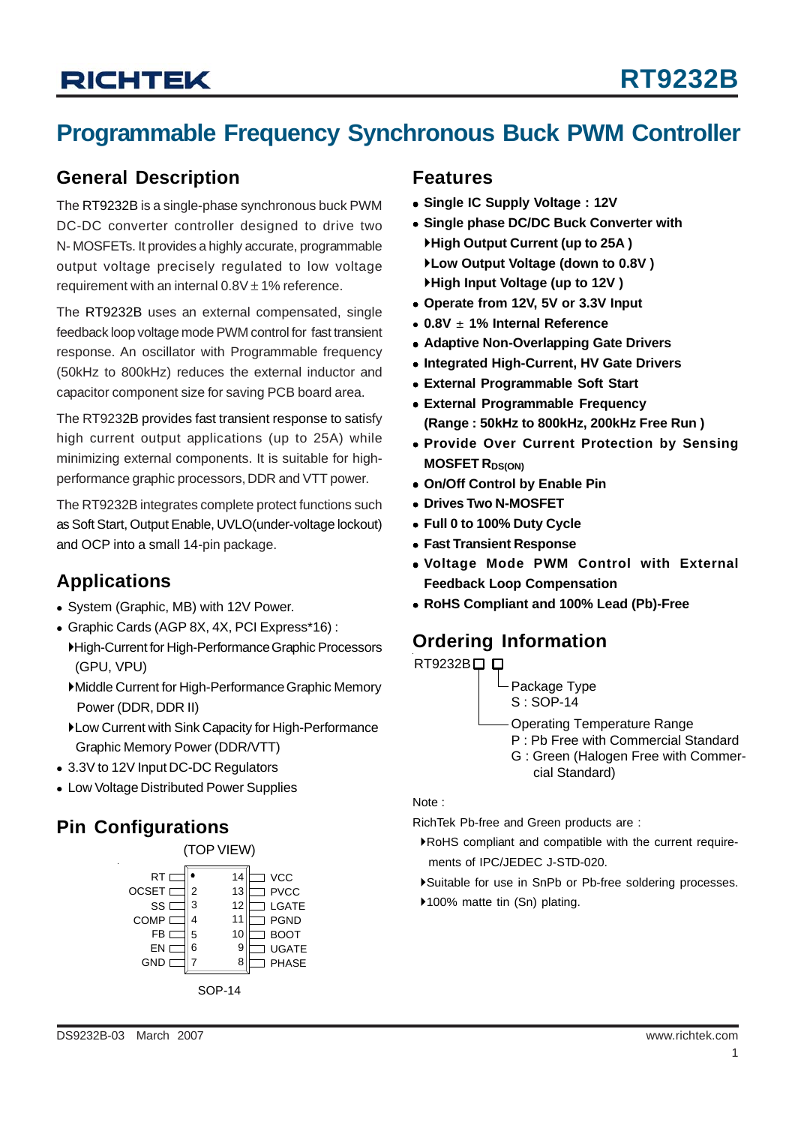## **Programmable Frequency Synchronous Buck PWM Controller**

### **General Description**

The RT9232B is a single-phase synchronous buck PWM DC-DC converter controller designed to drive two N- MOSFETs. It provides a highly accurate, programmable output voltage precisely regulated to low voltage requirement with an internal  $0.8V \pm 1\%$  reference.

The RT9232B uses an external compensated, single feedback loop voltage mode PWM control for fast transient response. An oscillator with Programmable frequency (50kHz to 800kHz) reduces the external inductor and capacitor component size for saving PCB board area.

The RT9232B provides fast transient response to satisfy high current output applications (up to 25A) while minimizing external components. It is suitable for highperformance graphic processors, DDR and VTT power.

The RT9232B integrates complete protect functions such as Soft Start, Output Enable, UVLO(under-voltage lockout) and OCP into a small 14-pin package.

### **Applications**

- System (Graphic, MB) with 12V Power.
- <sup>z</sup> Graphic Cards (AGP 8X, 4X, PCI Express\*16) :
	- `High-Current for High-Performance Graphic Processors (GPU, VPU)
	- `Middle Current for High-Performance Graphic Memory Power (DDR, DDR II)
	- `Low Current with Sink Capacity for High-Performance Graphic Memory Power (DDR/VTT)
- 3.3V to 12V Input DC-DC Regulators
- Low Voltage Distributed Power Supplies

### **Pin Configurations**



### **Features**

- <sup>z</sup> **Single IC Supply Voltage : 12V**
- **Single phase DC/DC Buck Converter with** `**High Output Current (up to 25A )** `**Low Output Voltage (down to 0.8V )** `**High Input Voltage (up to 12V )**
- Operate from 12V, 5V or 3.3V Input
- <sup>z</sup> **0.8V** ± **1% Internal Reference**
- **Adaptive Non-Overlapping Gate Drivers**
- **Integrated High-Current, HV Gate Drivers**
- **External Programmable Soft Start**
- **External Programmable Frequency (Range : 50kHz to 800kHz, 200kHz Free Run )**
- **Provide Over Current Protection by Sensing MOSFET RDS(ON)**
- **On/Off Control by Enable Pin**
- **Drives Two N-MOSFET**
- <sup>z</sup> **Full 0 to 100% Duty Cycle**
- **Fast Transient Response**
- <sup>z</sup> **Voltage Mode PWM Control with External Feedback Loop Compensation**
- <sup>z</sup> **RoHS Compliant and 100% Lead (Pb)-Free**

## **Ordering Information**



Package Type S : SOP-14

Operating Temperature Range

- P : Pb Free with Commercial Standard
- G : Green (Halogen Free with Commer cial Standard)

#### Note :

RichTek Pb-free and Green products are :

- `RoHS compliant and compatible with the current require ments of IPC/JEDEC J-STD-020.
- `Suitable for use in SnPb or Pb-free soldering processes.
- ▶100% matte tin (Sn) plating.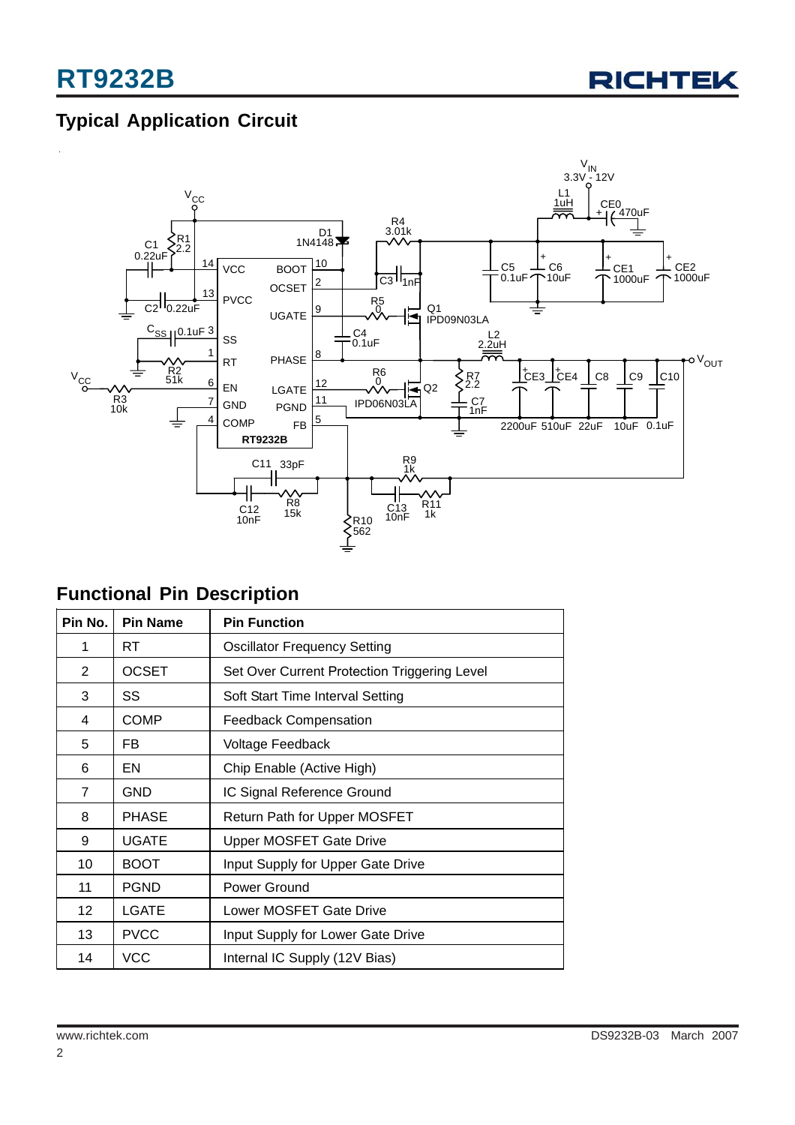

## **Typical Application Circuit**



### **Functional Pin Description**

| Pin No.        | <b>Pin Name</b> | <b>Pin Function</b>                          |
|----------------|-----------------|----------------------------------------------|
| 1              | RT              | <b>Oscillator Frequency Setting</b>          |
| 2              | <b>OCSET</b>    | Set Over Current Protection Triggering Level |
| 3              | SS              | Soft Start Time Interval Setting             |
| 4              | <b>COMP</b>     | <b>Feedback Compensation</b>                 |
| 5              | FB.             | Voltage Feedback                             |
| 6              | EN              | Chip Enable (Active High)                    |
| $\overline{7}$ | GND             | IC Signal Reference Ground                   |
| 8              | <b>PHASE</b>    | Return Path for Upper MOSFET                 |
| 9              | UGATE           | <b>Upper MOSFET Gate Drive</b>               |
| 10             | <b>BOOT</b>     | Input Supply for Upper Gate Drive            |
| 11             | <b>PGND</b>     | Power Ground                                 |
| 12             | LGATE           | Lower MOSFET Gate Drive                      |
| 13             | <b>PVCC</b>     | Input Supply for Lower Gate Drive            |
| 14             | <b>VCC</b>      | Internal IC Supply (12V Bias)                |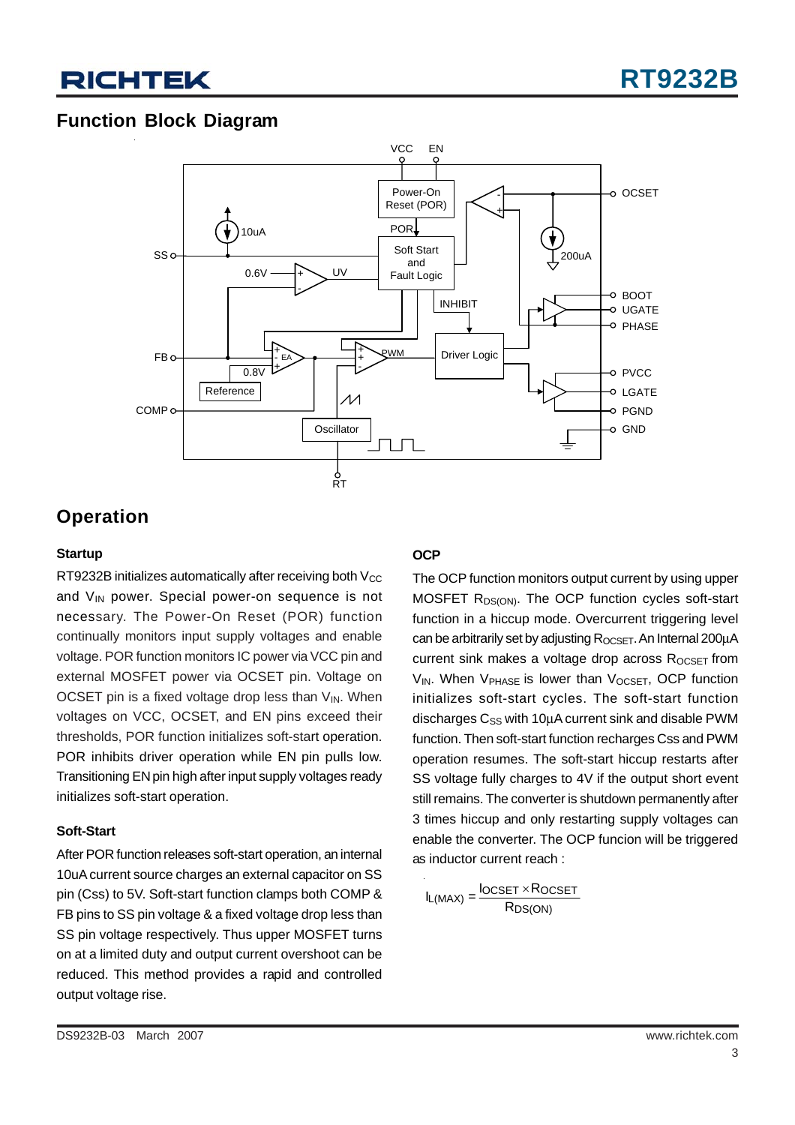### **Function Block Diagram**



### **Operation**

### **Startup**

RT9232B initializes automatically after receiving both  $V_{CC}$ and  $V_{IN}$  power. Special power-on sequence is not necessary. The Power-On Reset (POR) function continually monitors input supply voltages and enable voltage. POR function monitors IC power via VCC pin and external MOSFET power via OCSET pin. Voltage on OCSET pin is a fixed voltage drop less than  $V_{IN}$ . When voltages on VCC, OCSET, and EN pins exceed their thresholds, POR function initializes soft-start operation. POR inhibits driver operation while EN pin pulls low. Transitioning EN pin high after input supply voltages ready initializes soft-start operation.

#### **Soft-Start**

After POR function releases soft-start operation, an internal 10uA current source charges an external capacitor on SS pin (Css) to 5V. Soft-start function clamps both COMP & FB pins to SS pin voltage & a fixed voltage drop less than SS pin voltage respectively. Thus upper MOSFET turns on at a limited duty and output current overshoot can be reduced. This method provides a rapid and controlled output voltage rise.

### **OCP**

The OCP function monitors output current by using upper MOSFET R<sub>DS(ON)</sub>. The OCP function cycles soft-start function in a hiccup mode. Overcurrent triggering level can be arbitrarily set by adjusting  $R_{OCSET}$ . An Internal 200 $\mu$ A current sink makes a voltage drop across  $R_{OCSET}$  from  $V_{IN}$ . When  $V_{PHASE}$  is lower than  $V_{OCSET}$ , OCP function initializes soft-start cycles. The soft-start function discharges  $C_{SS}$  with 10 $\mu$ A current sink and disable PWM function. Then soft-start function recharges Css and PWM operation resumes. The soft-start hiccup restarts after SS voltage fully charges to 4V if the output short event still remains. The converter is shutdown permanently after 3 times hiccup and only restarting supply voltages can enable the converter. The OCP funcion will be triggered as inductor current reach :

$$
I_{L(MAX)} = \frac{I_{OCSET} \times R_{OCSET}}{R_{DS(ON)}}
$$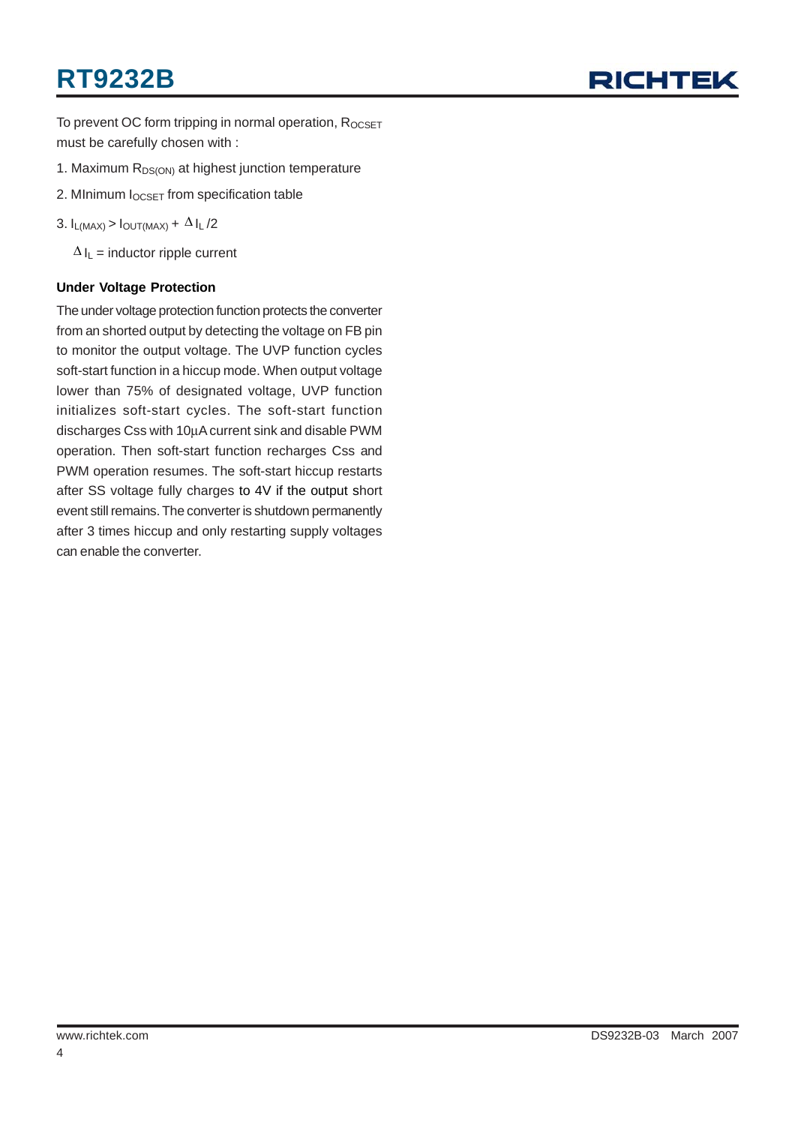# **RT9232B**



To prevent OC form tripping in normal operation, ROCSET must be carefully chosen with :

- 1. Maximum  $R_{DS(ON)}$  at highest junction temperature
- 2. MInimum I<sub>OCSET</sub> from specification table
- 3.  $I_{L(MAX)} > I_{OUT(MAX)} + \Delta I_L/2$

 $\Delta I_L$  = inductor ripple current

#### **Under Voltage Protection**

The under voltage protection function protects the converter from an shorted output by detecting the voltage on FB pin to monitor the output voltage. The UVP function cycles soft-start function in a hiccup mode. When output voltage lower than 75% of designated voltage, UVP function initializes soft-start cycles. The soft-start function discharges Css with 10μA current sink and disable PWM operation. Then soft-start function recharges Css and PWM operation resumes. The soft-start hiccup restarts after SS voltage fully charges to 4V if the output short event still remains. The converter is shutdown permanently after 3 times hiccup and only restarting supply voltages can enable the converter.

4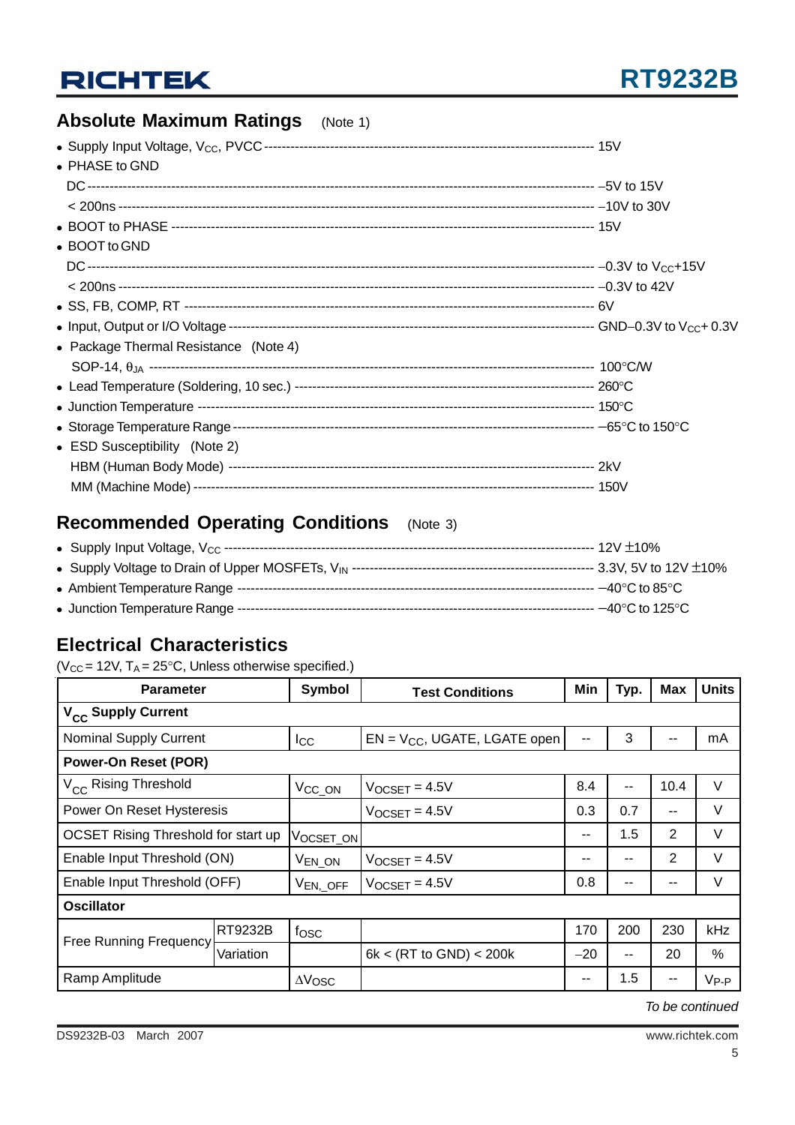## **Absolute Maximum Ratings** (Note 1)

| • PHASE to GND                        |  |
|---------------------------------------|--|
|                                       |  |
|                                       |  |
|                                       |  |
| • BOOT to GND                         |  |
|                                       |  |
|                                       |  |
|                                       |  |
|                                       |  |
| • Package Thermal Resistance (Note 4) |  |
|                                       |  |
|                                       |  |
|                                       |  |
|                                       |  |
| • ESD Susceptibility (Note 2)         |  |
|                                       |  |
|                                       |  |

## **Recommended Operating Conditions** (Note 3)

## **Electrical Characteristics**

( $V_{CC}$  = 12V, T<sub>A</sub> = 25°C, Unless otherwise specified.)

| <b>Parameter</b>                    |           | <b>Symbol</b>        | <b>Test Conditions</b>            | Min   | Typ. | <b>Max</b> | <b>Units</b> |  |
|-------------------------------------|-----------|----------------------|-----------------------------------|-------|------|------------|--------------|--|
| V <sub>CC</sub> Supply Current      |           |                      |                                   |       |      |            |              |  |
| <b>Nominal Supply Current</b>       |           | Icc                  | $EN = V_{CC}$ , UGATE, LGATE open | --    | 3    |            | mA           |  |
| <b>Power-On Reset (POR)</b>         |           |                      |                                   |       |      |            |              |  |
| V <sub>CC</sub> Rising Threshold    |           | V <sub>CC_ON</sub>   | $V$ OCSET = 4.5V                  | 8.4   | --   | 10.4       | V            |  |
| Power On Reset Hysteresis           |           |                      | $V$ OCSET = 4.5V                  | 0.3   | 0.7  | $- -$      | V            |  |
| OCSET Rising Threshold for start up |           | VOCSET_ON            |                                   | --    | 1.5  | 2          | V            |  |
| Enable Input Threshold (ON)         |           | V <sub>EN_ON</sub>   | $V_{OCSET} = 4.5V$                | --    | --   | 2          | V            |  |
| Enable Input Threshold (OFF)        |           | V <sub>EN, OFF</sub> | $V$ OCSET = 4.5V                  | 0.8   | --   | $- -$      | V            |  |
| <b>Oscillator</b>                   |           |                      |                                   |       |      |            |              |  |
| <b>Free Running Frequency</b>       | RT9232B   | fosc                 |                                   | 170   | 200  | 230        | kHz          |  |
|                                     | Variation |                      | 6k < (RT to GND) < 200k           | $-20$ | --   | 20         | %            |  |
| Ramp Amplitude                      |           | $\Delta V$ OSC       |                                   | $- -$ | 1.5  |            | $V_{P-P}$    |  |

*To be continued*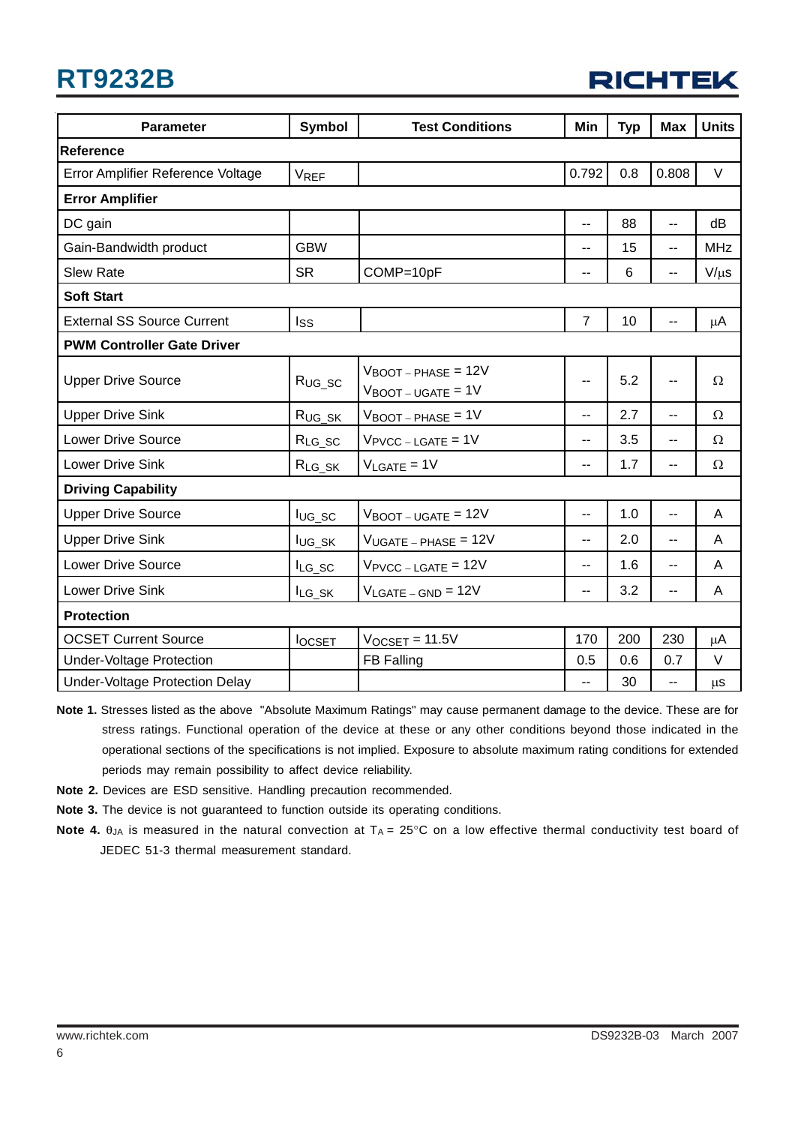# **RT9232B**

| <b>RICHTEK</b> |  |  |
|----------------|--|--|
|                |  |  |

| <b>Parameter</b>                  | Symbol        | <b>Test Conditions</b>                                                              | Min                      | <b>Typ</b> | <b>Max</b>               | <b>Units</b> |  |
|-----------------------------------|---------------|-------------------------------------------------------------------------------------|--------------------------|------------|--------------------------|--------------|--|
| Reference                         |               |                                                                                     |                          |            |                          |              |  |
| Error Amplifier Reference Voltage | <b>VREF</b>   |                                                                                     | 0.792                    | 0.8        | 0.808                    | $\vee$       |  |
| <b>Error Amplifier</b>            |               |                                                                                     |                          |            |                          |              |  |
| DC gain                           |               |                                                                                     | $\overline{a}$           | 88         | $\overline{a}$           | dB           |  |
| Gain-Bandwidth product            | <b>GBW</b>    |                                                                                     | --                       | 15         | --                       | <b>MHz</b>   |  |
| <b>Slew Rate</b>                  | <b>SR</b>     | COMP=10pF                                                                           | $\overline{\phantom{a}}$ | 6          | $-$                      | $V/\mu s$    |  |
| <b>Soft Start</b>                 |               |                                                                                     |                          |            |                          |              |  |
| <b>External SS Source Current</b> | <b>Iss</b>    |                                                                                     | $\overline{7}$           | 10         |                          | $\mu$ A      |  |
| <b>PWM Controller Gate Driver</b> |               |                                                                                     |                          |            |                          |              |  |
| <b>Upper Drive Source</b>         | $R_{UG\_SC}$  | $V_{\text{BOOT}-\text{PHASE}} = 12V$<br>$V_{\text{BOOT}-\text{UGATE}} = 1 \text{V}$ | $\overline{a}$           | 5.2        | $\overline{\phantom{a}}$ | $\Omega$     |  |
| <b>Upper Drive Sink</b>           | $R_{UG\_SK}$  | $V_{\text{BOOT}-\text{PHASE}} = 1V$                                                 | $\overline{\phantom{a}}$ | 2.7        | $-$                      | $\Omega$     |  |
| <b>Lower Drive Source</b>         | $R_{LG_SC}$   | $V_{\text{PVCC} - \text{LGATE}} = 1V$                                               | $\overline{\phantom{a}}$ | 3.5        | $-$                      | $\Omega$     |  |
| Lower Drive Sink                  | $R_{LG_SK}$   | $V_{LGATE} = 1V$                                                                    | $\overline{\phantom{a}}$ | 1.7        | $\overline{\phantom{a}}$ | Ω            |  |
| <b>Driving Capability</b>         |               |                                                                                     |                          |            |                          |              |  |
| <b>Upper Drive Source</b>         | $I_{UG\_SC}$  | $V_{\text{BOOT}-\text{UGATE}} = 12V$                                                | $\overline{a}$           | 1.0        | $\overline{a}$           | A            |  |
| <b>Upper Drive Sink</b>           | lug_sk        | $V_{UGATE - PHASE} = 12V$                                                           | $\overline{\phantom{a}}$ | 2.0        | $-$                      | A            |  |
| <b>Lower Drive Source</b>         | $I_{LG\_SC}$  | $V_{\text{PVCC} - \text{LGATE}} = 12V$                                              | --                       | 1.6        | $\overline{\phantom{a}}$ | A            |  |
| Lower Drive Sink                  | $I_{LG_SK}$   | $V_{LGATE - GND} = 12V$                                                             | $-$                      | 3.2        | $\overline{a}$           | A            |  |
| <b>Protection</b>                 |               |                                                                                     |                          |            |                          |              |  |
| <b>OCSET Current Source</b>       | <b>locsET</b> | $V_{OCSET} = 11.5V$                                                                 | 170                      | 200        | 230                      | μA           |  |
| <b>Under-Voltage Protection</b>   |               | <b>FB Falling</b>                                                                   | 0.5                      | 0.6        | 0.7                      | $\vee$       |  |
| Under-Voltage Protection Delay    |               |                                                                                     | --                       | 30         | u.                       | $\mu$ s      |  |

**Note 1.** Stresses listed as the above "Absolute Maximum Ratings" may cause permanent damage to the device. These are for stress ratings. Functional operation of the device at these or any other conditions beyond those indicated in the operational sections of the specifications is not implied. Exposure to absolute maximum rating conditions for extended periods may remain possibility to affect device reliability.

**Note 2.** Devices are ESD sensitive. Handling precaution recommended.

**Note 3.** The device is not guaranteed to function outside its operating conditions.

**Note 4.** θ<sub>JA</sub> is measured in the natural convection at T<sub>A</sub> = 25°C on a low effective thermal conductivity test board of JEDEC 51-3 thermal measurement standard.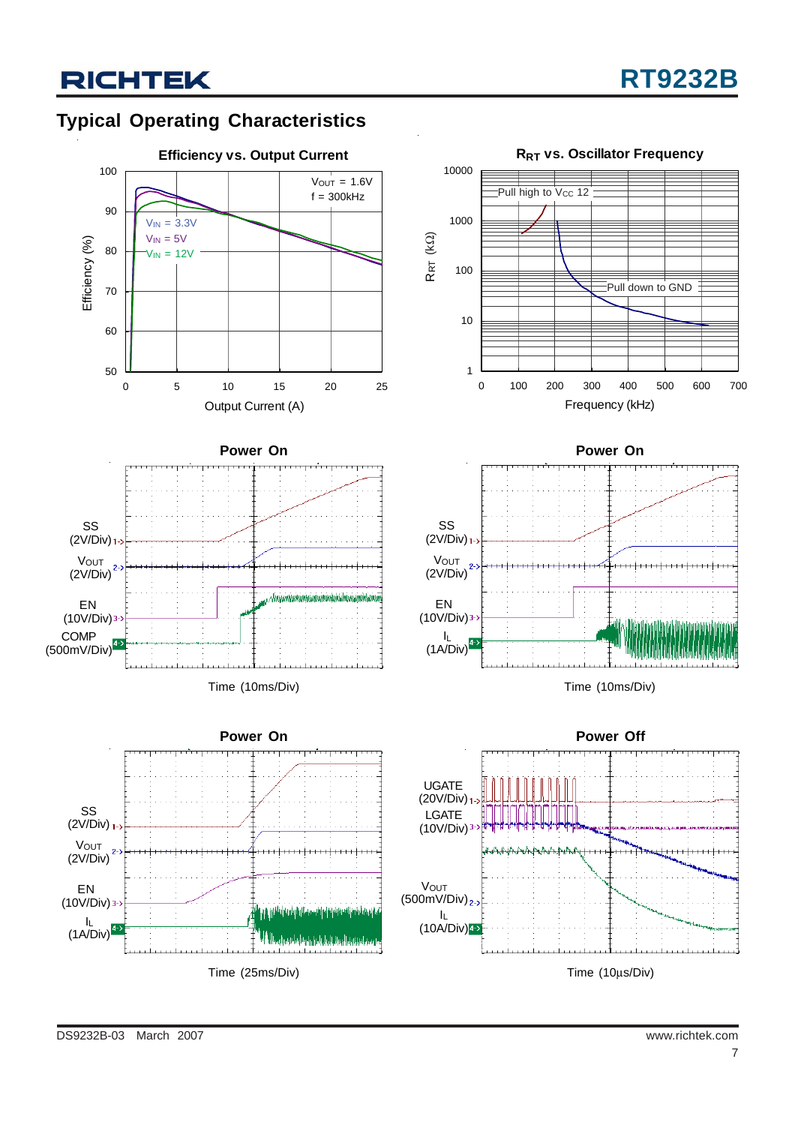## **Typical Operating Characteristics**

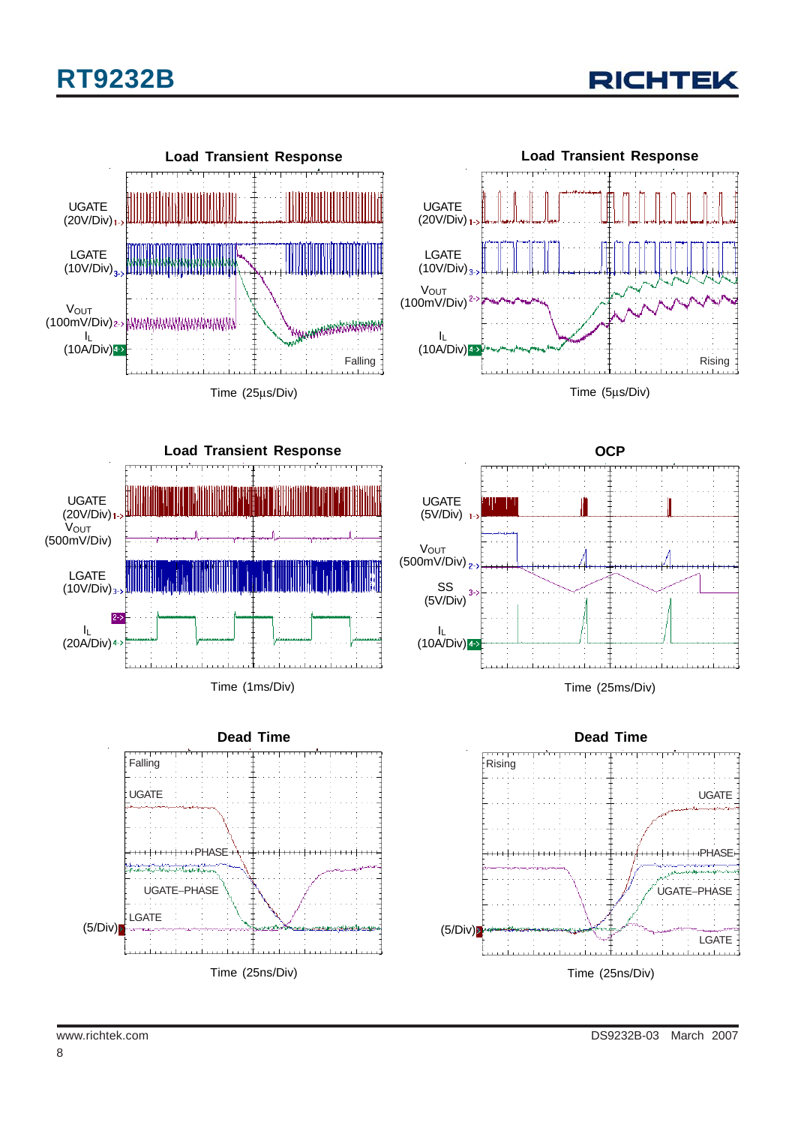









Time (1ms/Div)





Time (25ms/Div)

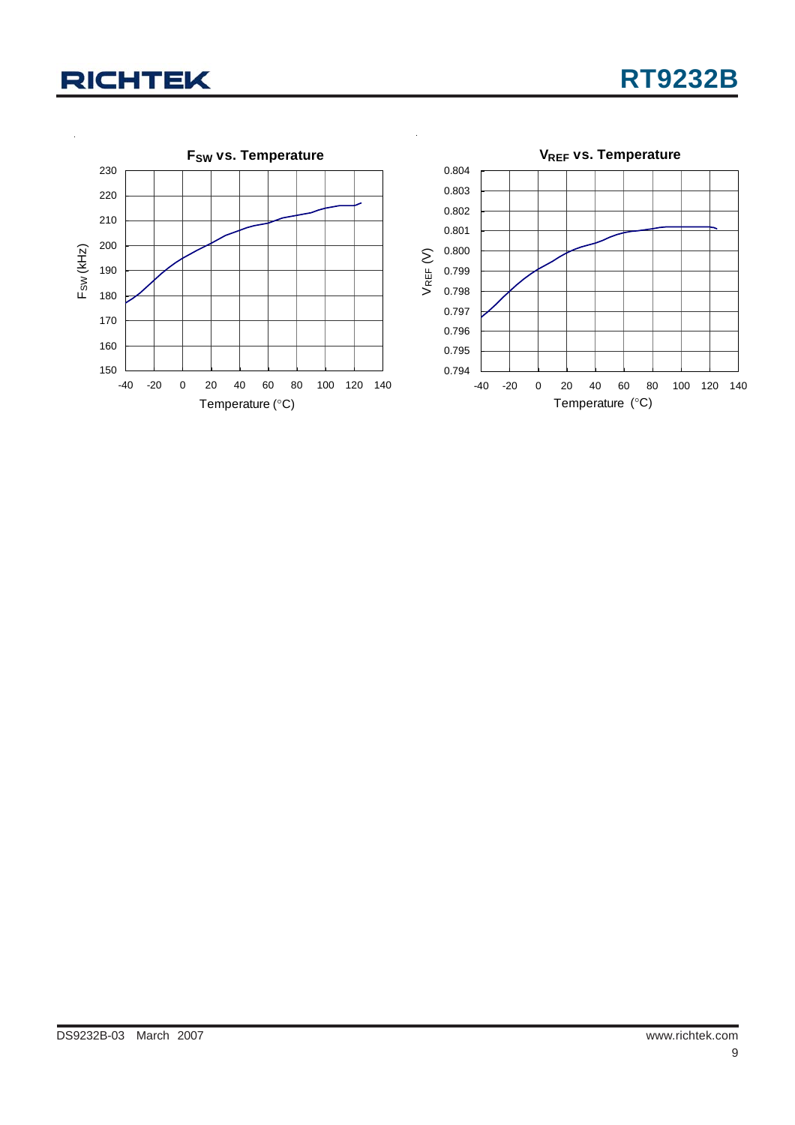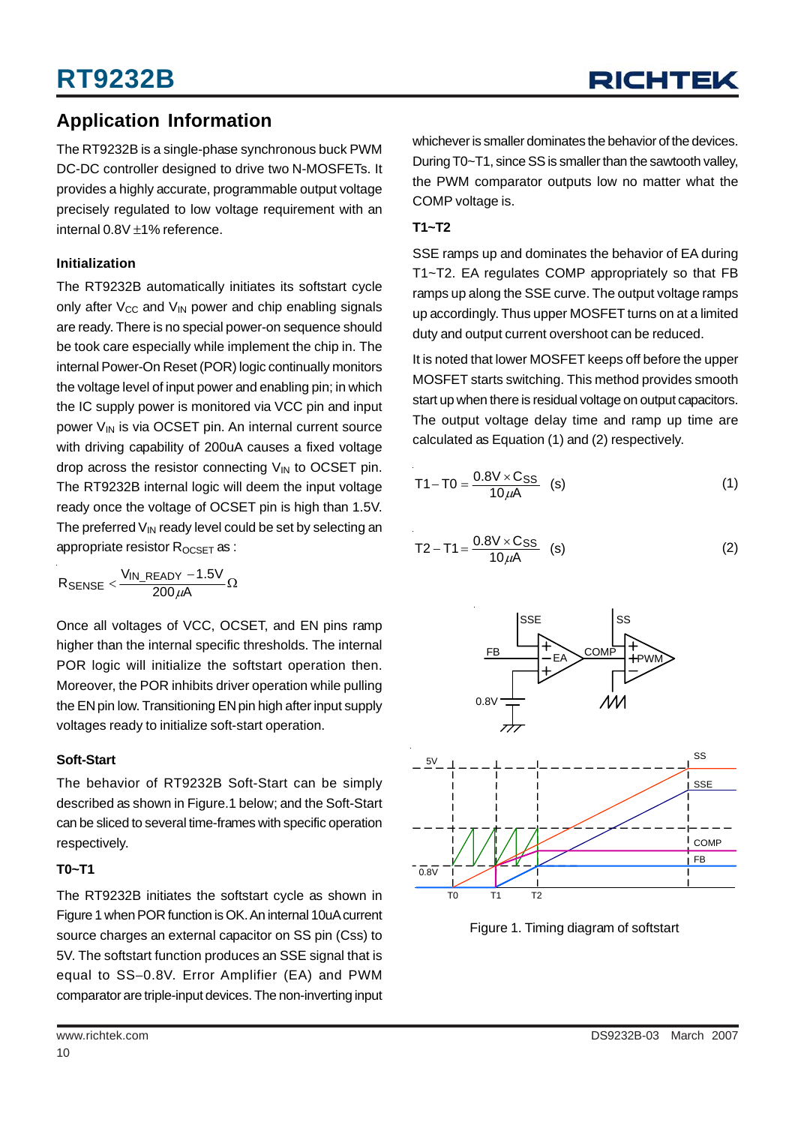### **Application Information**

The RT9232B is a single-phase synchronous buck PWM DC-DC controller designed to drive two N-MOSFETs. It provides a highly accurate, programmable output voltage precisely regulated to low voltage requirement with an internal 0.8V ±1% reference.

### **Initialization**

The RT9232B automatically initiates its softstart cycle only after  $V_{CC}$  and  $V_{IN}$  power and chip enabling signals are ready. There is no special power-on sequence should be took care especially while implement the chip in. The internal Power-On Reset (POR) logic continually monitors the voltage level of input power and enabling pin; in which the IC supply power is monitored via VCC pin and input power  $V_{IN}$  is via OCSET pin. An internal current source with driving capability of 200uA causes a fixed voltage drop across the resistor connecting  $V_{IN}$  to OCSET pin. The RT9232B internal logic will deem the input voltage ready once the voltage of OCSET pin is high than 1.5V. The preferred  $V_{\text{IN}}$  ready level could be set by selecting an appropriate resistor R<sub>OCSET</sub> as :

 ${\sf R}_{\sf SENSE} < \frac{{\sf V}_{\sf IN\_READV} - 1.5 {\sf V}}{200\,\mu{\sf A}}\Omega$ 

Once all voltages of VCC, OCSET, and EN pins ramp higher than the internal specific thresholds. The internal POR logic will initialize the softstart operation then. Moreover, the POR inhibits driver operation while pulling the EN pin low. Transitioning EN pin high after input supply voltages ready to initialize soft-start operation.

### **Soft-Start**

The behavior of RT9232B Soft-Start can be simply described as shown in Figure.1 below; and the Soft-Start can be sliced to several time-frames with specific operation respectively.

### **T0~T1**

The RT9232B initiates the softstart cycle as shown in Figure 1 when POR function is OK. An internal 10uA current source charges an external capacitor on SS pin (Css) to 5V. The softstart function produces an SSE signal that is equal to SS−0.8V. Error Amplifier (EA) and PWM comparator are triple-input devices. The non-inverting input

### **T1~T2**

SSE ramps up and dominates the behavior of EA during T1~T2. EA regulates COMP appropriately so that FB ramps up along the SSE curve. The output voltage ramps up accordingly. Thus upper MOSFET turns on at a limited duty and output current overshoot can be reduced.

It is noted that lower MOSFET keeps off before the upper MOSFET starts switching. This method provides smooth start up when there is residual voltage on output capacitors. The output voltage delay time and ramp up time are calculated as Equation (1) and (2) respectively.

$$
T1 - T0 = \frac{0.8V \times C_{SS}}{10 \mu A}
$$
 (s) (1)

$$
T2 - T1 = \frac{0.8V \times C_{SS}}{10 \mu A}
$$
 (s) (2)



Figure 1. Timing diagram of softstart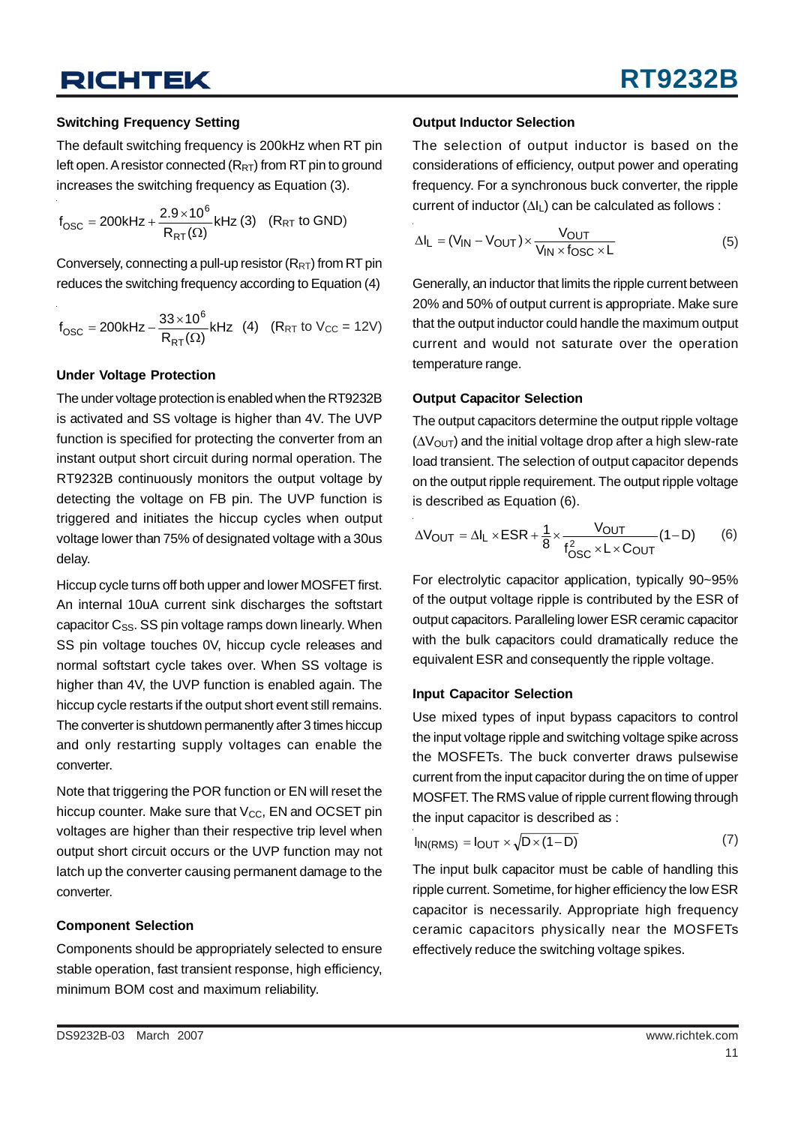#### **Switching Frequency Setting**

The default switching frequency is 200kHz when RT pin left open. A resistor connected  $(R_{RT})$  from RT pin to ground increases the switching frequency as Equation (3).

$$
f_{\rm OSC} = 200kHz + \frac{2.9 \times 10^6}{R_{RT}(\Omega)} kHz (3) \quad (R_{RT} \text{ to GND})
$$

Conversely, connecting a pull-up resistor  $(R_{RT})$  from RT pin reduces the switching frequency according to Equation (4)

$$
f_{\rm OSC} = 200 \, \text{kHz} - \frac{33 \times 10^6}{R_{\rm RT}(\Omega)} \, \text{kHz} \quad (4) \quad (R_{\rm RT} \text{ to } V_{\rm CC} = 12 \text{V})
$$

#### **Under Voltage Protection**

The under voltage protection is enabled when the RT9232B is activated and SS voltage is higher than 4V. The UVP function is specified for protecting the converter from an instant output short circuit during normal operation. The RT9232B continuously monitors the output voltage by detecting the voltage on FB pin. The UVP function is triggered and initiates the hiccup cycles when output voltage lower than 75% of designated voltage with a 30us delay.

Hiccup cycle turns off both upper and lower MOSFET first. An internal 10uA current sink discharges the softstart capacitor  $C_{SS}$ . SS pin voltage ramps down linearly. When SS pin voltage touches 0V, hiccup cycle releases and normal softstart cycle takes over. When SS voltage is higher than 4V, the UVP function is enabled again. The hiccup cycle restarts if the output short event still remains. The converter is shutdown permanently after 3 times hiccup and only restarting supply voltages can enable the converter.

Note that triggering the POR function or EN will reset the hiccup counter. Make sure that  $V_{CC}$ , EN and OCSET pin voltages are higher than their respective trip level when output short circuit occurs or the UVP function may not latch up the converter causing permanent damage to the converter.

#### **Component Selection**

Components should be appropriately selected to ensure stable operation, fast transient response, high efficiency, minimum BOM cost and maximum reliability.

#### **Output Inductor Selection**

The selection of output inductor is based on the considerations of efficiency, output power and operating frequency. For a synchronous buck converter, the ripple current of inductor  $(\Delta I_L)$  can be calculated as follows :

$$
\Delta I_{L} = (V_{IN} - V_{OUT}) \times \frac{V_{OUT}}{V_{IN} \times f_{OSC} \times L}
$$
 (5)

Generally, an inductor that limits the ripple current between 20% and 50% of output current is appropriate. Make sure that the output inductor could handle the maximum output current and would not saturate over the operation temperature range.

#### **Output Capacitor Selection**

The output capacitors determine the output ripple voltage  $(\Delta V_{\text{OUT}})$  and the initial voltage drop after a high slew-rate load transient. The selection of output capacitor depends on the output ripple requirement. The output ripple voltage is described as Equation (6).

$$
\Delta V_{OUT} = \Delta I_L \times ESR + \frac{1}{8} \times \frac{V_{OUT}}{f_{OSC}^2 \times L \times C_{OUT}} (1 - D)
$$
 (6)

For electrolytic capacitor application, typically 90~95% of the output voltage ripple is contributed by the ESR of output capacitors. Paralleling lower ESR ceramic capacitor with the bulk capacitors could dramatically reduce the equivalent ESR and consequently the ripple voltage.

#### **Input Capacitor Selection**

Use mixed types of input bypass capacitors to control the input voltage ripple and switching voltage spike across the MOSFETs. The buck converter draws pulsewise current from the input capacitor during the on time of upper MOSFET. The RMS value of ripple current flowing through the input capacitor is described as :

$$
I_{IN(RMS)} = I_{OUT} \times \sqrt{D \times (1 - D)}
$$
 (7)

The input bulk capacitor must be cable of handling this ripple current. Sometime, for higher efficiency the low ESR capacitor is necessarily. Appropriate high frequency ceramic capacitors physically near the MOSFETs effectively reduce the switching voltage spikes.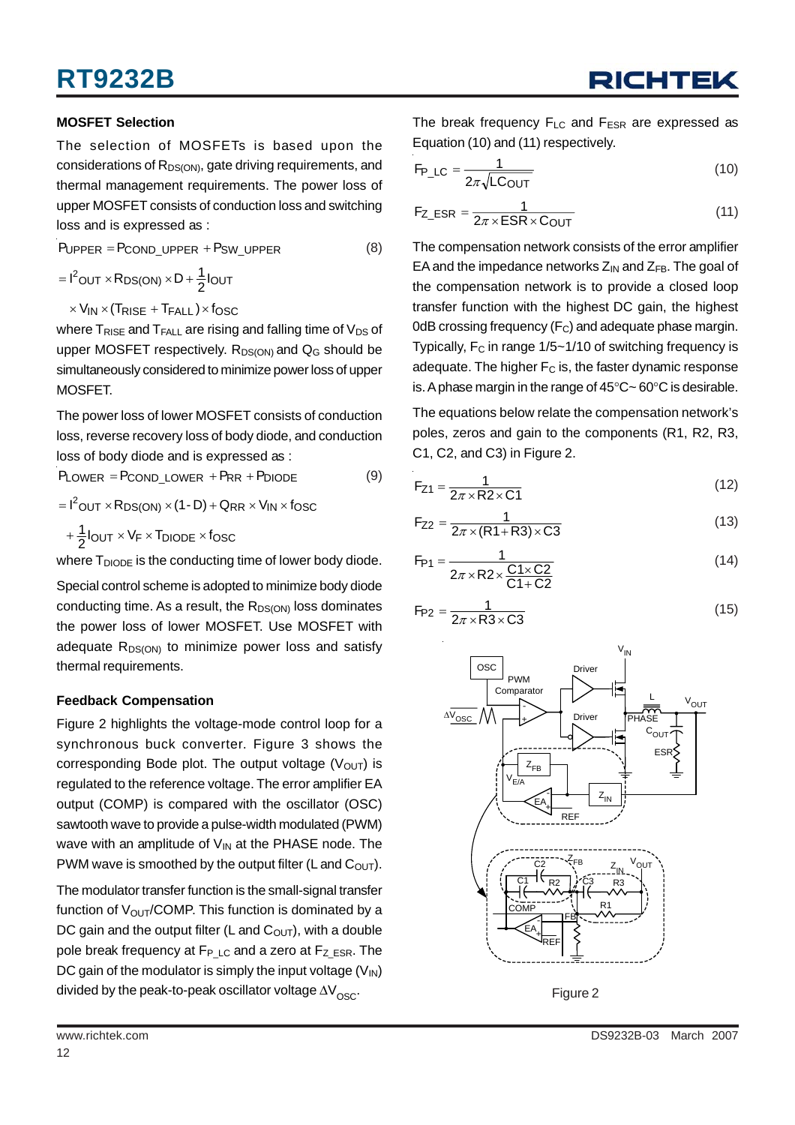### **MOSFET Selection**

The selection of MOSFETs is based upon the considerations of R<sub>DS(ON)</sub>, gate driving requirements, and thermal management requirements. The power loss of upper MOSFET consists of conduction loss and switching loss and is expressed as :

 $P_{UPPER} = P_{COND\_UPPER} + P_{SW\_UPPER}$  (8)

$$
= I^2\text{OUT} \times R_\text{DS(ON)} \times D + \frac{1}{2}I_{OUT}
$$

 $\times$  V<sub>IN</sub>  $\times$  (Trise + T<sub>FALL</sub>)  $\times$  fosc

where  $T_{RISE}$  and  $T_{FALL}$  are rising and falling time of  $V_{DS}$  of upper MOSFET respectively.  $R_{DS(ON)}$  and  $Q_G$  should be simultaneously considered to minimize power loss of upper MOSFET.

The power loss of lower MOSFET consists of conduction loss, reverse recovery loss of body diode, and conduction loss of body diode and is expressed as :

 $P_{LOWER} = P_{COND\_LOWER} + P_{RR} + P_{DIODE}$  (9)

 $=$   $I^2$ OUT  $\times$  R<sub>DS(ON)</sub>  $\times$  (1 - D) + Q<sub>RR</sub>  $\times$  V<sub>IN</sub>  $\times$  f<sub>OSC</sub>

$$
+\frac{1}{2}I_{OUT} \times V_F \times T_{DIODE} \times f_{OSC}
$$

where  $T_{DIODE}$  is the conducting time of lower body diode.

Special control scheme is adopted to minimize body diode conducting time. As a result, the  $R_{DS(ON)}$  loss dominates the power loss of lower MOSFET. Use MOSFET with adequate  $R_{DS(ON)}$  to minimize power loss and satisfy thermal requirements.

### **Feedback Compensation**

Figure 2 highlights the voltage-mode control loop for a synchronous buck converter. Figure 3 shows the corresponding Bode plot. The output voltage  $(V<sub>OUT</sub>)$  is regulated to the reference voltage. The error amplifier EA output (COMP) is compared with the oscillator (OSC) sawtooth wave to provide a pulse-width modulated (PWM) wave with an amplitude of  $V_{IN}$  at the PHASE node. The PWM wave is smoothed by the output filter (L and  $C_{\text{OUT}}$ ).

The modulator transfer function is the small-signal transfer function of  $V_{\text{OUT}}$ /COMP. This function is dominated by a DC gain and the output filter (L and  $C<sub>OUT</sub>$ ), with a double pole break frequency at  $F_{P\text{ LC}}$  and a zero at  $F_{Z\text{ ESR}}$ . The DC gain of the modulator is simply the input voltage  $(V_{\text{IN}})$ divided by the peak-to-peak oscillator voltage  $\Delta V_{\infty}$ .

The break frequency  $F_{LC}$  and  $F_{ESR}$  are expressed as Equation (10) and (11) respectively.

$$
F_{P\_LC} = \frac{1}{2\pi\sqrt{LC_{OUT}}}
$$
 (10)

$$
F_{Z\_ESR} = \frac{1}{2\pi \times ESR \times C_{OUT}} \tag{11}
$$

The compensation network consists of the error amplifier EA and the impedance networks  $Z_{IN}$  and  $Z_{FB}$ . The goal of the compensation network is to provide a closed loop transfer function with the highest DC gain, the highest 0dB crossing frequency  $(F_C)$  and adequate phase margin. Typically,  $F_C$  in range  $1/5 \sim 1/10$  of switching frequency is adequate. The higher  $F_C$  is, the faster dynamic response is. A phase margin in the range of 45°C~ 60°C is desirable.

The equations below relate the compensation network's poles, zeros and gain to the components (R1, R2, R3, C1, C2, and C3) in Figure 2.

$$
F_{Z1} = \frac{1}{2\pi \times R2 \times C1}
$$
 (12)

$$
F_{Z2} = \frac{1}{2\pi \times (R1 + R3) \times C3}
$$
 (13)

$$
F_{P1} = \frac{1}{2\pi \times R2 \times \frac{C1 \times C2}{C1 + C2}}
$$
 (14)

$$
F_{P2} = \frac{1}{2\pi \times R3 \times C3}
$$
 (15)



Figure 2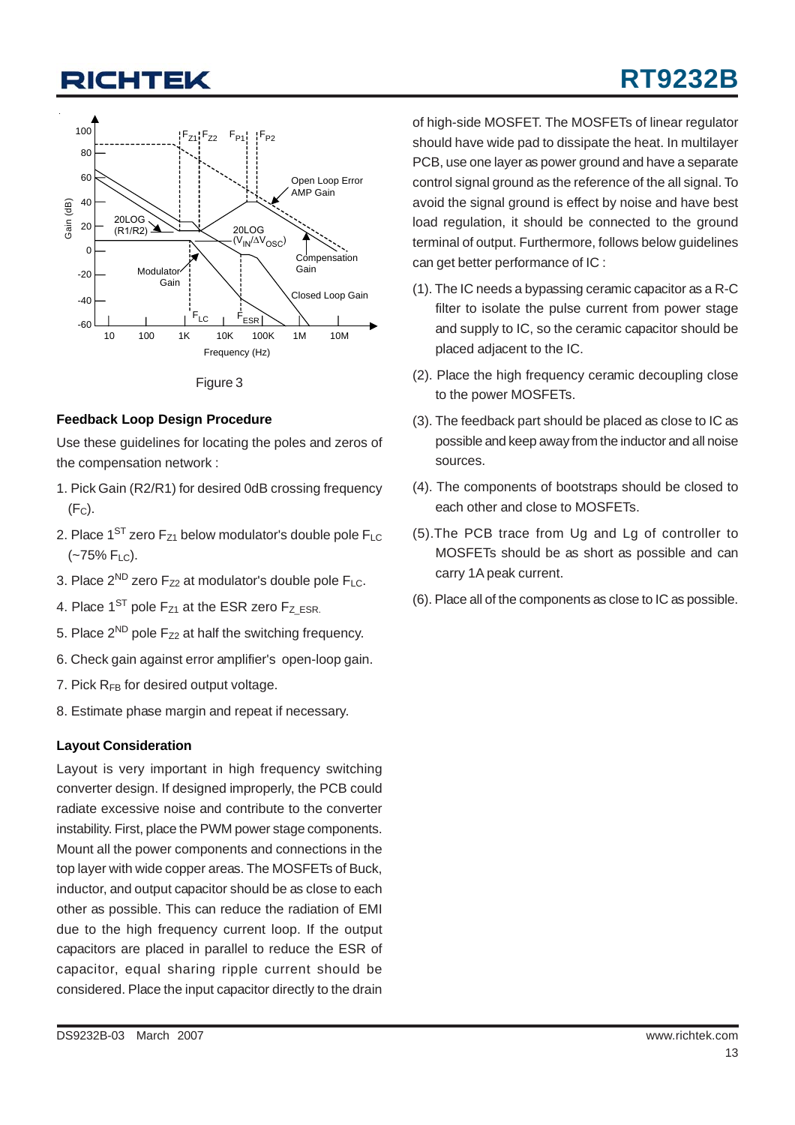

Figure 3

#### **Feedback Loop Design Procedure**

Use these guidelines for locating the poles and zeros of the compensation network :

- 1. Pick Gain (R2/R1) for desired 0dB crossing frequency  $(F<sub>C</sub>)$ .
- 2. Place  $1^{ST}$  zero  $F_{Z1}$  below modulator's double pole  $F_{LC}$  $(-75\% \text{ F}_{LC})$ .
- 3. Place  $2^{ND}$  zero  $F_{Z2}$  at modulator's double pole  $F_{LC}$ .
- 4. Place  $1^{ST}$  pole  $F_{Z1}$  at the ESR zero  $F_{Z|ESR}$ .
- 5. Place  $2^{ND}$  pole  $F_{Z2}$  at half the switching frequency.
- 6. Check gain against error amplifier's open-loop gain.
- 7. Pick  $R_{FB}$  for desired output voltage.
- 8. Estimate phase margin and repeat if necessary.

### **Layout Consideration**

Layout is very important in high frequency switching converter design. If designed improperly, the PCB could radiate excessive noise and contribute to the converter instability. First, place the PWM power stage components. Mount all the power components and connections in the top layer with wide copper areas. The MOSFETs of Buck, inductor, and output capacitor should be as close to each other as possible. This can reduce the radiation of EMI due to the high frequency current loop. If the output capacitors are placed in parallel to reduce the ESR of capacitor, equal sharing ripple current should be considered. Place the input capacitor directly to the drain

of high-side MOSFET. The MOSFETs of linear regulator should have wide pad to dissipate the heat. In multilayer PCB, use one layer as power ground and have a separate control signal ground as the reference of the all signal. To avoid the signal ground is effect by noise and have best load regulation, it should be connected to the ground terminal of output. Furthermore, follows below guidelines can get better performance of IC :

- (1). The IC needs a bypassing ceramic capacitor as a R-C filter to isolate the pulse current from power stage and supply to IC, so the ceramic capacitor should be placed adjacent to the IC.
- (2). Place the high frequency ceramic decoupling close to the power MOSFETs.
- (3). The feedback part should be placed as close to IC as possible and keep away from the inductor and all noise sources.
- (4). The components of bootstraps should be closed to each other and close to MOSFETs.
- (5).The PCB trace from Ug and Lg of controller to MOSFETs should be as short as possible and can carry 1A peak current.
- (6). Place all of the components as close to IC as possible.